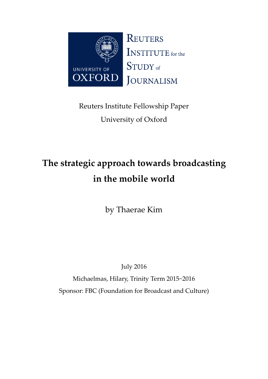

Reuters Institute Fellowship Paper University of Oxford

# **The strategic approach towards broadcasting in the mobile world**

by Thaerae Kim

July 2016

Michaelmas, Hilary, Trinity Term 2015~2016 Sponsor: FBC (Foundation for Broadcast and Culture)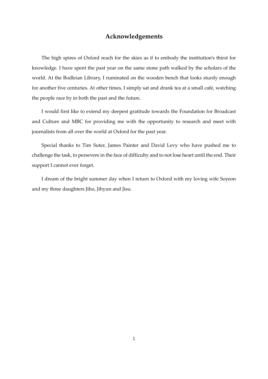## **Acknowledgements**

The high spires of Oxford reach for the skies as if to embody the institution's thirst for knowledge. I have spent the past year on the same stone path walked by the scholars of the world. At the Bodleian Library, I ruminated on the wooden bench that looks sturdy enough for another five centuries. At other times, I simply sat and drank tea at a small café, watching the people race by in both the past and the future.

I would first like to extend my deepest gratitude towards the Foundation for Broadcast and Culture and MBC for providing me with the opportunity to research and meet with journalists from all over the world at Oxford for the past year.

Special thanks to Tim Suter, James Painter and David Levy who have pushed me to challenge the task, to persevere in the face of difficulty and to not lose heart until the end. Their support I cannot ever forget.

I dream of the bright summer day when I return to Oxford with my loving wife Soyeon and my three daughters Jiho, Jihyun and Jisu.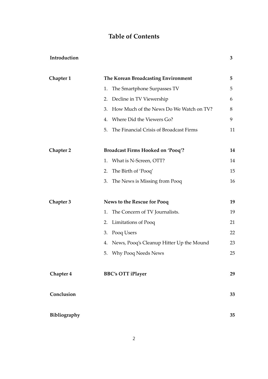## **Table of Contents**

## **Introduction 3**

| Chapter 1        | The Korean Broadcasting Environment           | 5  |
|------------------|-----------------------------------------------|----|
|                  | The Smartphone Surpasses TV<br>1.             | 5  |
|                  | 2. Decline in TV Viewership                   | 6  |
|                  | How Much of the News Do We Watch on TV?<br>3. | 8  |
|                  | Where Did the Viewers Go?<br>4.               | 9  |
|                  | The Financial Crisis of Broadcast Firms<br>5. | 11 |
| <b>Chapter 2</b> | <b>Broadcast Firms Hooked on 'Pooq'?</b>      | 14 |
|                  | 1. What is N-Screen, OTT?                     | 14 |
|                  | The Birth of 'Pooq'<br>2.                     | 15 |
|                  | The News is Missing from Pooq<br>3.           | 16 |
| Chapter 3        | News to the Rescue for Pooq                   | 19 |
|                  | 1. The Concern of TV Journalists.             | 19 |
|                  | 2. Limitations of Pooq                        | 21 |
|                  | 3. Pooq Users                                 | 22 |
|                  | 4. News, Pooq's Cleanup Hitter Up the Mound   | 23 |
|                  | <b>Why Pooq Needs News</b><br>5.              | 25 |
| <b>Chapter 4</b> | <b>BBC's OTT iPlayer</b>                      | 29 |
| Conclusion       |                                               | 33 |
| Bibliography     |                                               | 35 |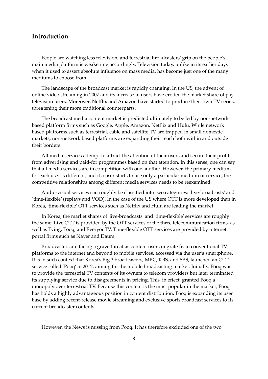## **Introduction**

People are watching less television, and terrestrial broadcasters' grip on the people's main media platform is weakening accordingly. Television today, unlike in its earlier days when it used to assert absolute influence on mass media, has become just one of the many mediums to choose from.

The landscape of the broadcast market is rapidly changing. In the US, the advent of online video streaming in 2007 and its increase in users have eroded the market share of pay television users. Moreover, Netflix and Amazon have started to produce their own TV series, threatening their more traditional counterparts.

The broadcast media content market is predicted ultimately to be led by non-network based platform firms such as Google, Apple, Amazon, Netflix and Hulu. While network based platforms such as terrestrial, cable and satellite TV are trapped in small domestic markets, non-network based platforms are expanding their reach both within and outside their borders.

All media services attempt to attract the attention of their users and secure their profits from advertising and paid-for programmes based on that attention. In this sense, one can say that all media services are in competition with one another. However, the primary medium for each user is different, and if a user starts to use only a particular medium or service, the competitive relationships among different media services needs to be reexamined.

Audio-visual services can roughly be classified into two categories: 'live-broadcasts' and 'time-flexible' (replays and VOD). In the case of the US where OTT is more developed than in Korea, 'time-flexible' OTT services such as Netflix and Hulu are leading the market.

In Korea, the market shares of 'live-broadcasts' and 'time-flexible' services are roughly the same. Live OTT is provided by the OTT services of the three telecommunication firms, as well as Tving, Pooq, and EveryonTV. Time-flexible OTT services are provided by internet portal firms such as Naver and Daum.

Broadcasters are facing a grave threat as content users migrate from conventional TV platforms to the internet and beyond to mobile services, accessed via the user's smartphone. It is in such context that Korea's Big 3 broadcasters, MBC, KBS, and SBS, launched an OTT service called 'Pooq' in 2012, aiming for the mobile broadcasting market. Initially, Pooq was to provide the terrestrial TV contents of its owners to telecom providers but later terminated its supplying service due to disagreements in pricing. This, in effect, granted Pooq a monopoly over terrestrial TV. Because this content is the most popular in the market, Pooq has holds a highly advantageous position in content distribution. Pooq is expanding its user base by adding recent-release movie streaming and exclusive sports broadcast services to its current broadcaster contents

However, the News is missing from Pooq. It has therefore excluded one of the two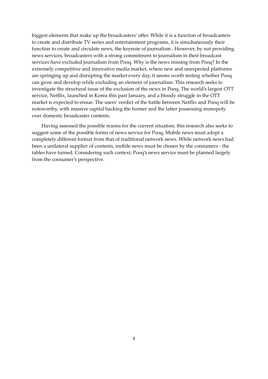biggest elements that make up the broadcasters' offer. While it is a function of broadcasters to create and distribute TV series and entertainment programs, it is simultaneously their function to create and circulate news, the keynote of journalism.. However, by not providing news services, broadcasters with a strong commitment to journalism in their broadcast services have excluded journalism from Pooq. Why is the news missing from Pooq? In the extremely competitive and innovative media market, where new and unexpected platforms are springing up and disrupting the market every day, it seems worth testing whether Pooq can grow and develop while excluding an element of journalism. This research seeks to investigate the structural issue of the exclusion of the news in Pooq. The world's largest OTT service, Netflix, launched in Korea this past January, and a bloody struggle in the OTT market is expected to ensue. The users' verdict of the battle between Netflix and Pooq will be noteworthy, with massive capital backing the former and the latter possessing monopoly over domestic broadcaster contents.

Having assessed the possible reaons for the current situation, this research also seeks to suggest some of the possible forms of news service for Pooq. Mobile news must adopt a completely different format from that of traditional network news. While network news had been a unilateral supplier of contents, mobile news must be chosen by the consumers - the tables have turned. Considering such context, Pooq's news service must be planned largely from the consumer's perspective.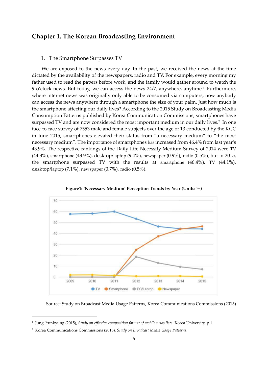## **Chapter 1. The Korean Broadcasting Environment**

## 1. The Smartphone Surpasses TV

We are exposed to the news every day. In the past, we received the news at the time dictated by the availability of the newspapers, radio and TV. For example, every morning my father used to read the papers before work, and the family would gather around to watch the 9 o'clock news. But today, we can access the news 24/7, anywhere, anytime.<sup>1</sup> Furthermore, where internet news was originally only able to be consumed via computers, now anybody can access the news anywhere through a smartphone the size of your palm. Just how much is the smartphone affecting our daily lives? According to the 2015 Study on Broadcasting Media Consumption Patterns published by Korea Communication Commissions, smartphones have surpassed TV and are now considered the most important medium in our daily lives.<sup>2</sup> In one face-to-face survey of 7553 male and female subjects over the age of 13 conducted by the KCC in June 2015, smartphones elevated their status from "a necessary medium" to "the most necessary medium". The importance of smartphones has increased from 46.4% from last year's 43.9%. The respective rankings of the Daily Life Necessity Medium Survey of 2014 were TV (44.3%), smartphone (43.9%), desktop/laptop (9.4%), newspaper (0.9%), radio (0.5%), but in 2015, the smartphone surpassed TV with the results at smartphone (46.4%), TV (44.1%), desktop/laptop (7.1%), newspaper (0.7%), radio (0.5%).





Source: Study on Broadcast Media Usage Patterns, Korea Communications Commissions (2015)

<sup>1</sup> Jung, Yunkyung (2015), *Study on effective composition format of mobile news lists*. Korea University, p.1.

<sup>2</sup> Korea Communications Commissions (2015), *Study on Broadcast Media Usage Patterns*.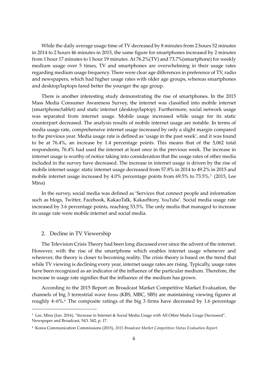While the daily average usage time of TV decreased by 8 minutes from 2 hours 52 minutes in 2014 to 2 hours 46 minutes in 2015, the same figure for smartphones increased by 2 minutes from 1 hour 17 minutes to 1 hour 19 minutes. At 76.2%(TV) and 73.7%(smartphone) for weekly medium usage over 5 times, TV and smartphones are overwhelming in their usage rates regarding medium usage frequency. There were clear age differences in preference of TV, radio and newspapers, which had higher usage rates with older age groups, whereas smartphones and desktop/laptops fared better the younger the age group.

There is another interesting study demonstrating the rise of smartphones. In the 2015 Mass Media Consumer Awareness Survey, the internet was classified into mobile internet (smartphone/tablet) and static internet (desktop/laptop). Furthermore, social network usage was separated from internet usage. Mobile usage increased while usage for its static counterpart decreased. The analysis results of mobile internet usage are notable. In terms of media usage rate, comprehensive internet usage increased by only a slight margin compared to the previous year. Media usage rate is defined as 'usage in the past week', and it was found to be at 76.4%, an increase by 1.4 percentage points. This means that of the 5,062 total respondents, 76.4% had used the internet at least once in the previous week. The increase in internet usage is worthy of notice taking into consideration that the usage rates of other media included in the survey have decreased. The increase in internet usage is driven by the rise of mobile internet usage: static internet usage decreased from 57.8% in 2014 to 49.2% in 2015 and mobile internet usage increased by 4.0% percentage points from 69.5% to 73.5%.<sup>3</sup> (2015, Lee Mina)

In the survey, social media was defined as 'Services that connect people and information such as blogs, Twitter, Facebook, KakaoTalk, KakaoStory, YouTube'. Social media usage rate increased by 3.6 percentage points, reaching 53.5%. The only media that managed to increase its usage rate were mobile internet and social media.

## 2. Decline in TV Viewership

 $\overline{a}$ 

The Television Crisis Theory had been long discussed ever since the advent of the internet. However, with the rise of the smartphone which enables internet usage whenever and wherever, the theory is closer to becoming reality. The crisis theory is based on the trend that while TV viewing is declining every year, internet usage rates are rising. Typically, usage rates have been recognized as an indicator of the influence of the particular medium. Therefore, the increase in usage rate signifies that the influence of the medium has grown.

According to the 2015 Report on Broadcast Market Competitive Market Evaluation, the channels of big 3 terrestrial wave firms (KBS, MBC, SBS) are maintaining viewing figures at roughly  $4~6\%$ .<sup>4</sup> The composite ratings of the big 3 firms have decreased by 1.6 percentage

<sup>&</sup>lt;sup>3</sup> Lee, Mina (Jun. 2016), "Increase in Internet & Social Media Usage with All Other Media Usage Decreased", Newspaper and Broadcast, NO. 542, p. 17.

<sup>4</sup> Korea Communication Commissions (2015), *2015 Broadcast Market Competition Status Evaluation Report.*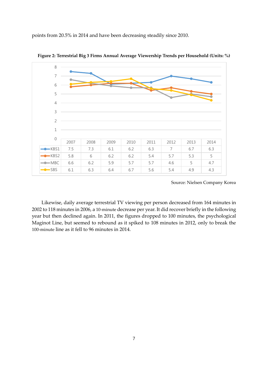points from 20.5% in 2014 and have been decreasing steadily since 2010.



**Figure 2: Terrestrial Big 3 Firms Annual Average Viewership Trends per Household (Units: %)**

Source: Nielsen Company Korea

Likewise, daily average terrestrial TV viewing per person decreased from 164 minutes in 2002 to 118 minutes in 2006, a 10-minute decrease per year. It did recover briefly in the following year but then declined again. In 2011, the figures dropped to 100 minutes, the psychological Maginot Line, but seemed to rebound as it spiked to 108 minutes in 2012, only to break the 100-minute line as it fell to 96 minutes in 2014.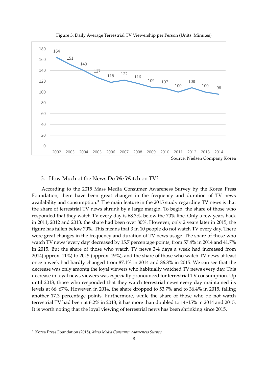

Figure 3: Daily Average Terrestrial TV Viewership per Person (Units: Minutes)

## 3. How Much of the News Do We Watch on TV?

According to the 2015 Mass Media Consumer Awareness Survey by the Korea Press Foundation, there have been great changes in the frequency and duration of TV news availability and consumption. <sup>5</sup> The main feature in the 2015 study regarding TV news is that the share of terrestrial TV news shrunk by a large margin. To begin, the share of those who responded that they watch TV every day is 68.3%, below the 70% line. Only a few years back in 2011, 2012 and 2013, the share had been over 80%. However, only 2 years later in 2015, the figure has fallen below 70%. This means that 3 in 10 people do not watch TV every day. There were great changes in the frequency and duration of TV news usage. The share of those who watch TV news 'every day' decreased by 15.7 percentage points, from 57.4% in 2014 and 41.7% in 2015. But the share of those who watch TV news 3-4 days a week had increased from 2014(approx. 11%) to 2015 (approx. 19%), and the share of those who watch TV news at least once a week had hardly changed from 87.1% in 2014 and 86.8% in 2015. We can see that the decrease was only amontg the loyal viewers who habitually watched TV news every day. This decrease in loyal news viewers was especially pronounced for terrestrial TV consumption. Up until 2013, those who responded that they watch terrestrial news every day maintained its levels at 66~67%. However, in 2014, the share dropped to 53.7% and to 36.4% in 2015, falling another 17.3 percentage points. Furthermore, while the share of those who do not watch terrestrial TV had been at 6.2% in 2013, it has more than doubled to 14~15% in 2014 and 2015. It is worth noting that the loyal viewing of terrestrial news has been shrinking since 2015.

<sup>5</sup> Korea Press Foundation (2015), *Mass Media Consumer Awareness Survey*.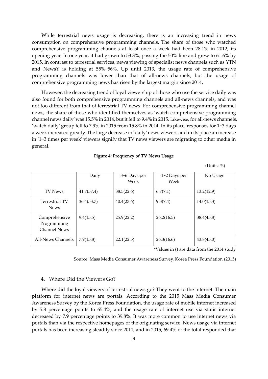While terrestrial news usage is decreasing, there is an increasing trend in news consumption on comprehensive programming channels. The share of those who watched comprehensive programming channels at least once a week had been 28.1% in 2012, its opening year. In one year, it had grown to 53.3%, passing the 50% line and grew to 61.6% by 2015. In contrast to terrestrial services, news viewing of specialist news channels such as YTN and NewsY is holding at 55%~56%. Up until 2013, the usage rate of comprehensive programming channels was lower than that of all-news channels, but the usage of comprehensive programming news has risen by the largest margin since 2014.

However, the decreasing trend of loyal viewership of those who use the service daily was also found for both comprehensive programming channels and all-news channels, and was not too different from that of terrestrial TV news. For comprehensive programming channel news, the share of those who identified themselves as 'watch comprehensive programming channel news daily' was 15.5% in 2014, but it fell to 9.4% in 2015. Likewise, for all-news channels, 'watch daily' group fell to 7.9% in 2015 from 15.8% in 2014. In its place, responses for 1~3 days a week increased greatly. The large decrease in 'daily' news viewers and in its place an increase in '1~3 times per week' viewers signify that TV news viewers are migrating to other media in general.

#### **Figure 4: Frequency of TV News Usage**

(Units: %)

|                                                     | Daily      | 3~6 Days per<br>Week | 1~2 Days per<br>Week | No Usage   |
|-----------------------------------------------------|------------|----------------------|----------------------|------------|
| <b>TV News</b>                                      | 41.7(57.4) | 38.5(22.6)           | 6.7(7.1)             | 13.2(12.9) |
| <b>Terrestrial TV</b><br><b>News</b>                | 36.4(53.7) | 40.4(23.6)           | 9.3(7.4)             | 14.0(15.3) |
| Comprehensive<br>Programming<br><b>Channel News</b> | 9.4(15.5)  | 25.9(22.2)           | 26.2(16.5)           | 38.4(45.8) |
| All-News Channels                                   | 7.9(15.8)  | 22.1(22.5)           | 26.3(16.6)           | 43.8(45.0) |

\*Values in () are data from the 2014 study

Source: Mass Media Consumer Awareness Survey, Korea Press Foundation (2015)

## 4. Where Did the Viewers Go?

Where did the loyal viewers of terrestrial news go? They went to the internet. The main platform for internet news are portals. According to the 2015 Mass Media Consumer Awareness Survey by the Korea Press Foundation, the usage rate of mobile internet increased by 5.8 percentage points to 65.4%, and the usage rate of internet use via static internet decreased by 7.9 percentage points to 39.8%. It was more common to use internet news via portals than via the respective homepages of the originating service. News usage via internet portals has been increasing steadily since 2011, and in 2015, 69.4% of the total responded that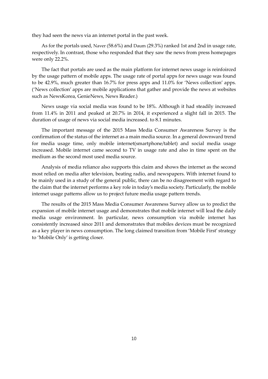they had seen the news via an internet portal in the past week.

As for the portals used, Naver (58.6%) and Daum (29.3%) ranked 1st and 2nd in usage rate, respectively. In contrast, those who responded that they saw the news from press homepages were only 22.2%.

The fact that portals are used as the main platform for internet news usage is reinfoirced by the usage pattern of mobile apps. The usage rate of portal apps for news usage was found to be 42.9%, much greater than 16.7% for press apps and 11.0% for 'News collection' apps. ('News collection' apps are mobile applications that gather and provide the news at websites such as NewsKorea, GenieNews, News Reader.)

News usage via social media was found to be 18%. Although it had steadily increased from 11.4% in 2011 and peaked at 20.7% in 2014, it experienced a slight fall in 2015. The duration of usage of news via social media increased. to 8.1 minutes.

The important message of the 2015 Mass Media Consumer Awareness Survey is the confirmation of the status of the internet as a main media source. In a general downward trend for media usage time, only mobile internet(smartphone/tablet) and social media usage increased. Mobile internet came second to TV in usage rate and also in time spent on the medium as the second most used media source.

Analysis of media reliance also supports this claim and shows the internet as the second most relied on media after television, beating radio, and newspapers. With internet found to be mainly used in a study of the general public, there can be no disagreement with regard to the claim that the internet performs a key role in today's media society. Particularly, the mobile internet usage patterns allow us to project future media usage pattern trends.

The results of the 2015 Mass Media Consumer Awareness Survey allow us to predict the expansion of mobile internet usage and demonstrates that mobile internet will lead the daily media usage environment. In particular, news consumption via mobile internet has consistently increased since 2011 and demonstrates that mobiles devices must be recognized as a key player in news consumption. The long claimed transition from 'Mobile First' strategy to 'Mobile Only' is getting closer.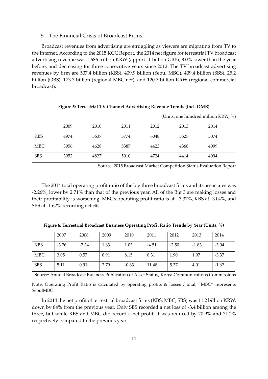## 5. The Financial Crisis of Broadcast Firms

Broadcast revenues from advertising are struggling as viewers are migrating from TV to the internet. According to the 2015 KCC Report, the 2014 net figure for terrestrial TV broadcast advertising revenue was 1.686 trillion KRW (approx. 1 billion GBP), 8.0% lower than the year before, and decreasing for three consecutive years since 2012. The TV broadcast advertising revenues by firm are 507.4 billion (KBS), 409.9 billion (Seoul MBC), 409.4 billion (SBS), 25.2 billion (OBS), 173.7 billion (regional MBC net), and 120.7 billion KRW (regional commercial broadcast).

## **Figure 5: Terrestrial TV Channel Advertising Revenue Trends (incl. DMB)**

|            | 2009 | 2010 | 2011 | 2012 | 2013 | 2014 |
|------------|------|------|------|------|------|------|
| <b>KBS</b> | 4974 | 5637 | 5774 | 6048 | 5627 | 5074 |
| <b>MBC</b> | 3956 | 4628 | 5387 | 4423 | 4368 | 4099 |
| <b>SBS</b> | 3952 | 4827 | 5010 | 4724 | 4414 | 4094 |

(Units: one hundred million KRW, %)

Source: 2015 Broadcast Market Competition Status Evaluation Report

The 2014 total operating profit ratio of the big three broadcast firms and its associates was -2.26%, lower by 2.71% than that of the previous year. All of the Big 3 are making losses and their profitability is worsening. MBC's operating profit ratio is at - 3.37%, KBS at -3.04%, and SBS at -1.62% recording deficits.

|  |  | Figure 6: Terrestrial Broadcast Business Operating Profit Ratio Trends by Year (Units: %) |
|--|--|-------------------------------------------------------------------------------------------|
|--|--|-------------------------------------------------------------------------------------------|

|            | 2007    | 2008  | 2009 | 2010    | 2011    | 2012    | 2013    | 2014    |
|------------|---------|-------|------|---------|---------|---------|---------|---------|
| <b>KBS</b> | $-3.76$ | -7.34 | 1.63 | 1.03    | $-4.51$ | $-2.50$ | $-1.83$ | $-3.04$ |
| <b>MBC</b> | 3.05    | 0.57  | 0.91 | 8.15    | 8.31    | 1.90    | 1.97    | $-3.37$ |
| <b>SBS</b> | 5.11    | 0.91  | 2.79 | $-0.63$ | 11.48   | 5.37    | 4.01    | $-1.62$ |

Source: Annual Broadcast Business Publication of Asset Status, Korea Communications Commissions

Note: Operating Profit Ratio is calculated by operating profits & losses / total, "MBC" represents SeoulMBC

In 2014 the net profit of terrestrial broadcast firms (KBS, MBC, SBS) was 11.2 billion KRW, down by 84% from the previous year. Only SBS recorded a net loss of -3.4 billion among the three, but while KBS and MBC did record a net profit, it was reduced by 20.9% and 71.2% respectively compared to the previous year.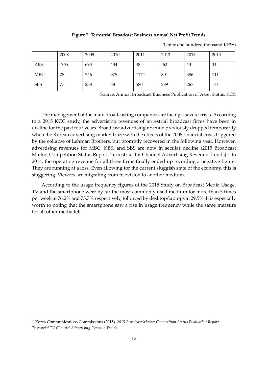#### **Figure 7: Terrestrial Broadcast Business Annual Net Profit Trends**

|            | 2008 | 2009 | 2010 | 2011 | 2012  | 2013 | 2014 |
|------------|------|------|------|------|-------|------|------|
| <b>KBS</b> | -765 | 693  | 434  | 48   | $-62$ | 43   | 34   |
| <b>MBC</b> | 28   | 746  | 975  | 1174 | 801   | 386  | 111  |
| <b>SBS</b> | 77   | 238  | 38   | 580  | 289   | 267  | -34  |

(Units: one hundred thousand KRW)

Source: Annual Broadcast Business Publication of Asset Status, KCC

The management of the main broadcasting companies are facing a severe crisis. According to a 2015 KCC study, the advertising revenues of terrestrial broadcast firms have been in decline for the past four years. Broadcast advertising revenue previously dropped temporarily when the Korean advertising market froze with the effects of the 2008 financial crisis triggered by the collapse of Lehman Brothers, but promptly recovered in the following year. However, advertising revenues for MBC, KBS, and SBS are now in secular decline (2015 Broadcast Market Competition Status Report, Terrestrial TV Channel Advertising Revenue Trends).<sup>6</sup> In 2014, the operating revenue for all three firms finally ended up recording a negative figure. They are running at a loss. Even allowing for the current sluggish state of the economy, this is staggering. Viewers are migrating from television to another medium.

According to the usage frequency figures of the 2015 Study on Broadcast Media Usage, TV and the smartphone were by far the most commonly used medium for more than 5 times per week at 76.2% and 73.7% respectively, followed by desktop/laptops at 29.5%. It is especially worth to noting that the smartphone saw a rise in usage frequency while the same measure for all other media fell.

<sup>6</sup> Korea Communications Commissions (2015), *2015 Broadcast Market Competition Status Evaluation Report, Terrestrial TV Channel Advertising Revenue Trends.*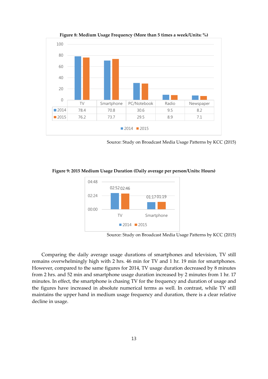

**Figure 8: Medium Usage Frequency (More than 5 times a week/Units: %)**

Source: Study on Broadcast Media Usage Patterns by KCC (2015)





Source: Study on Broadcast Media Usage Patterns by KCC (2015)

Comparing the daily average usage durations of smartphones and television, TV still remains overwhelmingly high with 2 hrs. 46 min for TV and 1 hr. 19 min for smartphones. However, compared to the same figures for 2014, TV usage duration decreased by 8 minutes from 2 hrs. and 52 min and smartphone usage duration increased by 2 minutes from 1 hr. 17 minutes. In effect, the smartphone is chasing TV for the frequency and duration of usage and the figures have increased in absolute numerical terms as well. In contrast, while TV still maintains the upper hand in medium usage frequency and duration, there is a clear relative decline in usage.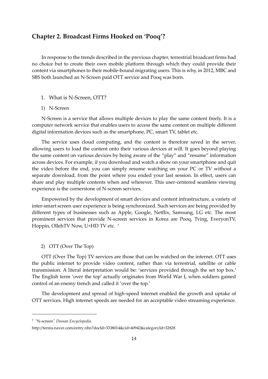## **Chapter 2. Broadcast Firms Hooked on 'Pooq'?**

In response to the trends described in the previous chapter, terrestrial broadcast firms had no choice but to create their own mobile platform through which they could provide their content via smartphones to their mobile-bound migrating users. This is why, in 2012, MBC and SBS both launched an N-Screen paid OTT service and Pooq was born.

## 1. What is N-Screen, OTT?

## 1) N-Screen

N-Screen is a service that allows multiple devices to play the same content freely. It is a computer network service that enables users to access the same content on multiple different digital information devices such as the smartphone, PC, smart TV, tablet etc.

The service uses cloud computing, and the content is therefore saved in the server, allowing users to load the content onto their various devices at will. It goes beyond playing the same content on various devices by being aware of the "play" and "resume" information across devices. For example, if you download and watch a show on your smartphone and quit the video before the end, you can simply resume watching on your PC or TV without a separate download, from the point where you ended your last session. In effect, users can share and play multiple contents when and wherever. This user-centered seamless viewing experience is the cornerstone of N-screen services.

Empowered by the development of smart devices and content infrastructure, a variety of inter-smart screen user experience is being synchronized. Such services are being provided by different types of businesses such as Apple, Google, Netflix, Samsung, LG etc. The most prominent services that provide N-screen services in Korea are Pooq, Tving, EveryonTV, Hoppin, OllehTV Now, U+HD TV etc.<sup>7</sup>

## 2) OTT (Over The Top)

OTT (Over The Top) TV services are those that can be watched on the internet. OTT uses the public internet to provide video content, rather than via terrestrial, satellite or cable transmission. A literal interpretation would be: 'services provided through the set top box.' The English term 'over the top' actually originates from World War I, when soldiers gained control of an enemy trench and called it 'over the top.'

The development and spread of high-speed internet enabled the growth and uptake of OTT services. High internet speeds are needed for an acceptable video streaming experience.

<sup>7</sup> "N-screen*" Doosan Encyclopedia*.

http://terms.naver.com/entry.nhn?docId=3338014&cid=40942&categoryId=32828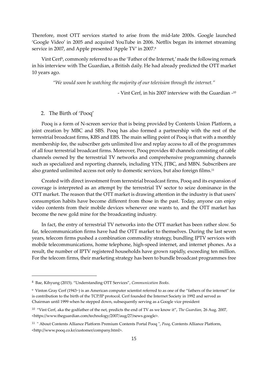Therefore, most OTT services started to arise from the mid-late 2000s. Google launched 'Google Video' in 2005 and acquired YouTube in 2006. Netflix began its internet streaming service in 2007, and Apple presented 'Apple TV' in 2007.<sup>8</sup>

Vint Cerf<sup>9</sup>, commonly referred to as the 'Father of the Internet,' made the following remark in his interview with The Guardian, a British daily. He had already predicted the OTT market 10 years ago.

*"We would soon be watching the majority of our television through the internet."*

- Vint Cerf, in his 2007 interview with the Guardian - 10

## 2. The Birth of 'Pooq'

Pooq is a form of N-screen service that is being provided by Contents Union Platform, a joint creation by MBC and SBS. Pooq has also formed a partnership with the rest of the terrestrial broadcast firms, KBS and EBS. The main selling point of Pooq is that with a monthly membership fee, the subscriber gets unlimited live and replay access to all of the programmes of all four terrestrial broadcast firms. Moreover, Pooq provides 40 channels consisting of cable channels owned by the terrestrial TV networks and comprehensive programming channels such as specialized and reporting channels, including YTN, JTBC, and MBN. Subscribers are also granted unlimited access not only to domestic services, but also foreign films.<sup>11</sup>

Created with direct investment from terrestrial broadcast firms, Pooq and its expansion of coverage is interpreted as an attempt by the terrestrial TV sector to seize dominance in the OTT market. The reason that the OTT market is drawing attention in the industry is that users' consumption habits have become different from those in the past. Today, anyone can enjoy video contents from their mobile devices whenever one wants to, and the OTT market has become the new gold mine for the broadcasting industry.

In fact, the entry of terrestrial TV networks into the OTT market has been rather slow. So far, telecommunication firms have had the OTT market to themselves. During the last seven years, telecom firms pushed a combination commodity strategy, bundling IPTV services with mobile telecommunications, home telephone, high-speed internet, and internet phones. As a result, the number of IPTV registered households have grown rapidly, exceeding ten million. For the telecom firms, their marketing strategy has been to bundle broadcast programmes free

<sup>8</sup> Bae, Kihyung (2015). "Understanding OTT Services", *Communication Books*.

<sup>9</sup> Vinton Gray Cerf (1943~) is an American computer scientist referred to as one of the "fathers of the internet" for is contribution to the birth of the TCP/IP protocol. Cerf founded the Internet Society in 1992 and served as Chairman until 1999 when he stepped down, subsequently serving as a Google vice president

<sup>10</sup> "Vint Cerf, aka the godfather of the net, predicts the end of TV as we know it", *The Guardian,* 26 Aug. 2007*,*  <https://www.theguardian.com/technology/2007/aug/27/news.google>.

<sup>11</sup> " About Contents Alliance Platform Premium Contents Portal Pooq ", *Pooq*, Contents Alliance Platform, <http://www.pooq.co.kr/customer/company.html>.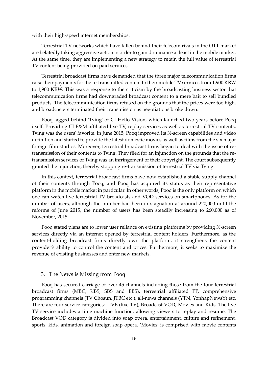with their high-speed internet memberships.

Terrestrial TV networks which have fallen behind their telecom rivals in the OTT market are belatedly taking aggressive action in order to gain dominance at least in the mobile market. At the same time, they are implementing a new strategy to retain the full value of terrestrial TV content being provided on paid services.

Terrestrial broadcast firms have demanded that the three major telecommunication firms raise their payments for the re-transmitted content to their mobile TV services from 1,900 KRW to 3,900 KRW. This was a response to the criticism by the broadcasting business sector that telecommunication firms had downgraded broadcast content to a mere bait to sell bundled products. The telecommunication firms refused on the grounds that the prices were too high, and broadcasters terminated their transmission as negotiations broke down.

Pooq lagged behind 'Tving' of CJ Hello Vision, which launched two years before Pooq itself. Providing CJ E&M affiliated live TV, replay services as well as terrestrial TV contents, Tving was the users' favorite. In June 2015, Pooq improved its N-screen capabilities and video definition and started to provide the latest domestic movies as well as films from the six major foreign film studios. Moreover, terrestrial broadcast firms began to deal with the issue of retransmission of their contents to Tving. They filed for an injunction on the grounds that the retransmission services of Tving was an infringement of their copyright. The court subsequently granted the injunction, thereby stopping re-transmission of terrestrial TV via Tving.

In this context, terrestrial broadcast firms have now established a stable supply channel of their contents through Pooq, and Pooq has acquired its status as their representative platform in the mobile market in particular. In other words, Pooq is the only platform on which one can watch live terrestrial TV broadcasts and VOD services on smartphones. As for the number of users, although the number had been in stagnation at around 220,000 until the reforms of June 2015, the number of users has been steadily increasing to 260,000 as of November, 2015.

Pooq stated plans are to lower user reliance on existing platforms by providing N-screen services directly via an internet opened by terrestrial content holders. Furthermore, as the content-holding broadcast firms directly own the platform, it strengthens the content provider's ability to control the content and prices. Furthermore, it seeks to maximize the revenue of existing businesses and enter new markets.

## 3. The News is Missing from Pooq

Pooq has secured carriage of over 45 channels including those from the four terrestrial broadcast firms (MBC, KBS, SBS and EBS), terrestrial affiliated PP, comprehensive programming channels (TV Chosun, JTBC etc.), all-news channels (YTN, YonhapNewsY) etc. There are four service categories: LIVE (live TV), Broadcast VOD, Movies and Kids. The live TV service includes a time machine function, allowing viewers to replay and resume. The Broadcast VOD category is divided into soap opera, entertainment, culture and refinement, sports, kids, animation and foreign soap opera. 'Movies' is comprised with movie contents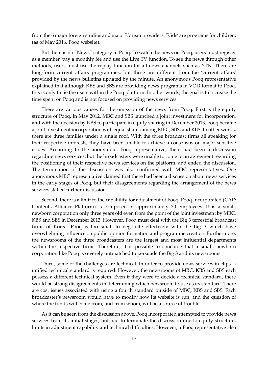from the 6 major foreign studios and major Korean providers. 'Kids' are programs for children. (as of May 2016. Pooq website).

But there is no "News" category in Pooq. To watch the news on Pooq, users must register as a member, pay a monthly fee and use the Live TV function. To see the news through other methods, users must use the replay function for all-news channels such as YTN. There are long-form current affairs programmes, but these are different from the 'current affairs' provided by the news bulletins updated by the minute. An anonymous Pooq representative explained that although KBS and SBS are providing news programs in VOD format to Pooq, this is only to tie the users within the Pooq platform. In other words, the goal is to increase the time spent on Pooq and is not focused on providing news services.

There are various causes for the omission of the news from Pooq. First is the equity structure of Pooq. In May 2012, MBC and SBS launched a joint investment for incorporation, and with the decision by KBS to participate in equity sharing in December 2013, Pooq became a joint investment incorporation with equal shares among MBC, SBS, and KBS. In other words, there are three families under a single roof. With the three broadcast firms all speaking for their respective interests, they have been unable to achieve a consensus on major sensitive issues. According to the anonymous Pooq representative, there had been a discussion regarding news services, but the broadcasters were unable to come to an agreement regarding the positioning of their respective news services on the platform, and ended the discussion. The termination of the discussion was also confirmed with MBC representatives. One anonymous MBC representative claimed that there had been a discussion about news services in the early stages of Pooq, but their disagreements regarding the arrangement of the news services stalled further discussion.

Second, there is a limit to the capability for adjustment of Pooq. Pooq Incorporated (CAP: Contents Alliance Platform) is composed of approximately 30 employees. It is a small, newborn corporation only three years old even from the point of the joint investment by MBC, KBS and SBS in December 2013. However, Pooq must deal with the Big 3 terrestrial broadcast firms of Korea. Pooq is too small to negotiate effectively with the Big 3 which have overwhelming influence on public opinion formation and programme creation. Furthermore, the newsrooms of the three broadcasters are the largest and most influential departments within the respective firms. Therefore, it is possible to conclude that a small, newborn corporation like Pooq is severely outmatched to persuade the Big 3 and its newsrooms.

Third, some of the challenges are technical. In order to provide news services in clips, a unified technical standard is required. However, the newsrooms of MBC, KBS and SBS each possess a different technical system. Even if they were to decide a technical standard, there would be strong disagreements in determining which newsroom to use as its standard. There are cost issues associated with using a fourth standard outside of MBC, KBS and SBS. Each broadcaster's newsroom would have to modify how its website is run, and the question of where the funds will come from, and from whom, will be a source of trouble.

As it can be seen from the discussion above, Pooq Incorporated attempted to provide news services from its initial stages, but had to terminate the discussion due to equity structure, limits in adjustment capability and technical difficulties. However, a Pooq representative also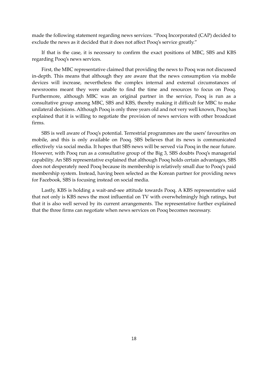made the following statement regarding news services. "Pooq Incorporated (CAP) decided to exclude the news as it decided that it does not affect Pooq's service greatly."

If that is the case, it is necessary to confirm the exact positions of MBC, SBS and KBS regarding Pooq's news services.

First, the MBC representative claimed that providing the news to Pooq was not discussed in-depth. This means that although they are aware that the news consumption via mobile devices will increase, nevertheless the complex internal and external circumstances of newsrooms meant they were unable to find the time and resources to focus on Pooq. Furthermore, although MBC was an original partner in the service, Pooq is run as a consultative group among MBC, SBS and KBS, thereby making it difficult for MBC to make unilateral decisions. Although Pooq is only three years old and not very well known, Pooq has explained that it is willing to negotiate the provision of news services with other broadcast firms.

SBS is well aware of Pooq's potential. Terrestrial programmes are the users' favourites on mobile, and this is only available on Pooq. SBS believes that its news is communicated effectively via social media. It hopes that SBS news will be served via Pooq in the near future. However, with Pooq run as a consultative group of the Big 3, SBS doubts Pooq's managerial capability. An SBS representative explained that although Pooq holds certain advantages, SBS does not desperately need Pooq because its membership is relatively small due to Pooq's paid membership system. Instead, having been selected as the Korean partner for providing news for Facebook, SBS is focusing instead on social media.

Lastly, KBS is holding a wait-and-see attitude towards Pooq. A KBS representative said that not only is KBS news the most influential on TV with overwhelmingly high ratings, but that it is also well served by its current arrangements. The representative further explained that the three firms can negotiate when news services on Pooq becomes necessary.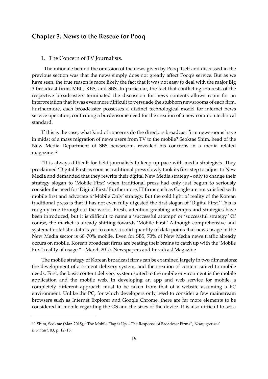## **Chapter 3. News to the Rescue for Pooq**

## 1. The Concern of TV Journalists.

The rationale behind the omission of the news given by Pooq itself and discussed in the previous section was that the news simply does not greatly affect Pooq's service. But as we have seen, the true reason is more likely the fact that it was not easy to deal with the major Big 3 broadcast firms MBC, KBS, and SBS. In particular, the fact that conflicting interests of the respective broadcasters terminated the discussion for news contents allows room for an interpretation that it was even more difficult to persuade the stubborn newsrooms of each firm. Furthermore, each broadcaster possesses a distinct technological model for internet news service operation, confirming a burdensome need for the creation of a new common technical standard.

If this is the case, what kind of concerns do the directors broadcast firm newsrooms have in midst of a mass migration of news users from TV to the mobile? Seoktae Shim, head of the New Media Department of SBS newsroom, revealed his concerns in a media related magazine.<sup>12</sup>

"It is always difficult for field journalists to keep up pace with media strategists. They proclaimed 'Digital First' as soon as traditional press slowly took its first step to adjust to New Media and demanded that they rewrite their digital New Media strategy - only to change their strategy slogan to 'Mobile First' when traditional press had only just begun to seriously consider the need for 'Digital First.' Furthermore, IT firms such as Google are not satisfied with mobile first and advocate a 'Mobile Only' strategy. But the cold light of reality of the Korean traditional press is that it has not even fully digested the first slogan of 'Digital First.' This is roughly true throughout the world. Fresh, attention-grabbing attempts and strategies have been introduced, but it is difficult to name a 'successful attempt' or 'successful strategy.' Of course, the market is already shifting towards 'Mobile First.' Although comprehensive and systematic statistic data is yet to come, a solid quantity of data points that news usage in the New Media sector is 60~70% mobile. Even for SBS, 70% of New Media news traffic already occurs on mobile. Korean broadcast firms are beating their brains to catch up with the 'Mobile First' reality of usage." - March 2015, Newspapers and Broadcast Magazine

The mobile strategy of Korean broadcast firms can be examined largely in two dimensions: the development of a content delivery system, and the creation of content suited to mobile needs. First, the basic content delivery system suited to the mobile environment is the mobile application and the mobile web. In developing an app and web service for mobile, a completely different approach must to be taken from that of a website assuming a PC environment. Unlike the PC, for which developers only need to consider a few mainstream browsers such as Internet Explorer and Google Chrome, there are far more elements to be considered in mobile regarding the OS and the sizes of the device. It is also difficult to set a

<sup>12</sup> Shim, Seoktae (Mar. 2015), "The Mobile Flag is Up – The Response of Broadcast Firms", *Newspaper and Broadcast*, 03, p. 12~15.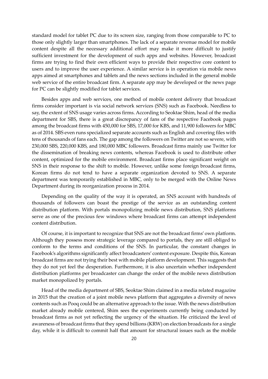standard model for tablet PC due to its screen size, ranging from those comparable to PC to those only slightly larger than smartphones. The lack of a separate revenue model for mobile content despite all the necessary additional effort may make it more difficult to justify sufficient investment for the development of such apps and websites. However, broadcast firms are trying to find their own efficient ways to provide their respective core content to users and to improve the user experience. A similar service is in operation via mobile news apps aimed at smartphones and tablets and the news sections included in the general mobile web service of the entire broadcast firm. A separate app may be developed or the news page for PC can be slightly modified for tablet services.

Besides apps and web services, one method of mobile content delivery that broadcast firms consider important is via social network services (SNS) such as Facebook. Needless to say, the extent of SNS usage varies across firms. According to Seoktae Shim, head of the media department for SBS, there is a great discrepancy of fans of the respective Facebook pages among the broadcast firms with 450,000 for SBS, 17,000 for KBS, and 11,900 followers for MBC as of 2014. SBS even runs specialized separate accounts such as English and covering files with tens of thousands of fans each. The gap among the followers on Twitter are not so severe, with 230,000 SBS, 220,000 KBS, and 180,000 MBC followers. Broadcast firms mainly use Twitter for the dissemination of breaking news contents, whereas Facebook is used to distribute other content, optimized for the mobile environment. Broadcast firms place significant weight on SNS in their response to the shift to mobile. However, unlike some foreign broadcast firms, Korean firms do not tend to have a separate organization devoted to SNS. A separate department was temporarily established in MBC, only to be merged with the Online News Department during its reorganization process in 2014.

Depending on the quality of the way it is operated, an SNS account with hundreds of thousands of followers can boast the prestige of the service as an outstanding content distribution platform. With portals monopolizing mobile news distribution, SNS platforms serve as one of the precious few windows where broadcast firms can attempt independent content distribution.

Of course, it is important to recognize that SNS are not the broadcast firms' own platform. Although they possess more strategic leverage compared to portals, they are still obliged to conform to the terms and conditions of the SNS. In particular, the constant changes in Facebook's algorithms significantly affect broadcasters' content exposure. Despite this, Korean broadcast firms are not trying their best with mobile platform development. This suggests that they do not yet feel the desperation. Furthermore, it is also uncertain whether independent distribution platforms per broadcaster can change the order of the mobile news distribution market monopolized by portals.

Head of the media department of SBS, Seoktae Shim claimed in a media related magazine in 2015 that the creation of a joint mobile news platform that aggregates a diversity of news contents such as Pooq could be an alternative approach to the issue. With the news distribution market already mobile centered, Shim sees the experiments currently being conducted by broadcast firms as not yet reflecting the urgency of the situation. He criticized the level of awareness of broadcast firms that they spend billions (KRW) on election broadcasts for a single day, while it is difficult to commit half that amount for structural issues such as the mobile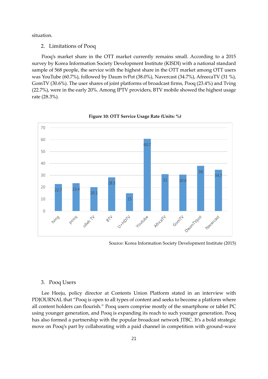situation.

2. Limitations of Pooq

Pooq's market share in the OTT market currently remains small. According to a 2015 survey by Korea Information Society Development Institute (KISDI) with a national standard sample of 568 people, the service with the highest share in the OTT market among OTT users was YouTube (60.7%), followed by Daum tvPot (38.0%), Navercast (34.7%), AfreecaTV (31 %), GomTV (30.6%). The user shares of joint platforms of broadcast firms, Pooq (23.4%) and Tving (22.7%), were in the early 20%. Among IPTV providers, BTV mobile showed the highest usage rate (28.3%).



**Figure 10: OTT Service Usage Rate (Units: %)**

Source: Korea Information Society Development Institute (2015)

## 3. Pooq Users

Lee Heeju, policy director at Contents Union Platform stated in an interview with PDJOURNAL that "Pooq is open to all types of content and seeks to become a platform where all content holders can flourish." Pooq users comprise mostly of the smartphone or tablet PC using younger generation, and Pooq is expanding its reach to such younger generation. Pooq has also formed a partnership with the popular broadcast network JTBC. It's a bold strategic move on Pooq's part by collaborating with a paid channel in competition with ground-wave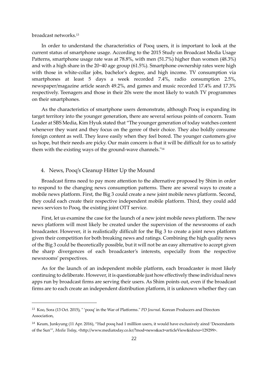broadcast networks.<sup>13</sup>

In order to understand the characteristics of Pooq users, it is important to look at the current status of smartphone usage. According to the 2015 Study on Broadcast Media Usage Patterns, smartphone usage rate was at 78.8%, with men (51.7%) higher than women (48.3%) and with a high share in the 20~40 age group (61.5%). Smartphone ownership rates were high with those in white-collar jobs, bachelor's degree, and high income. TV consumption via smartphones at least 5 days a week recorded 7.4%, radio consumption 2.5%, newspaper/magazine article search 49.2%, and games and music recorded 17.4% and 17.3% respectively. Teenagers and those in their 20s were the most likely to watch TV programmes on their smartphones.

As the characteristics of smartphone users demonstrate, although Pooq is expanding its target territory into the younger generation, there are several serious points of concern. Team Leader at SBS Media, Kim Hyuk stated that "The younger generation of today watches content whenever they want and they focus on the genre of their choice. They also boldly consume foreign content as well. They leave easily when they feel bored. The younger customers give us hope, but their needs are picky. Our main concern is that it will be difficult for us to satisfy them with the existing ways of the ground-wave channels." 14

## 4. News, Pooq's Cleanup Hitter Up the Mound

Broadcast firms need to pay more attention to the alternative proposed by Shim in order to respond to the changing news consumption patterns. There are several ways to create a mobile news platform. First, the Big 3 could create a new joint mobile news platform. Second, they could each create their respective independent mobile platform. Third, they could add news services to Pooq, the existing joint OTT service.

First, let us examine the case for the launch of a new joint mobile news platform. The new news platform will most likely be created under the supervision of the newsrooms of each broadcaster. However, it is realistically difficult for the Big 3 to create a joint news platform given their competition for both breaking news and ratings. Combining the high quality news of the Big 3 could be theoretically possible, but it will not be an easy alternative to accept given the sharp divergences of each broadcaster's interests, especially from the respective newsrooms' perspectives.

As for the launch of an independent mobile platform, each broadcaster is most likely continuing to deliberate. However, it is questionable just how effectively these individual news apps run by broadcast firms are serving their users. As Shim points out, even if the broadcast firms are to each create an independent distribution platform, it is unknown whether they can

<sup>13</sup> Koo, Sora (13 Oct. 2015), " 'pooq' in the War of Platforms." *PD Journal*. Korean Producers and Directors Association,

<sup>14</sup> Keum, Junkyung (11 Apr. 2016), "Had pooq had 1 milllion users, it would have exclusively aired 'Descendants of the Sun"", *Media Today*, <http://www.mediatoday.co.kr/?mod=news&act=articleView&idxno=129299>.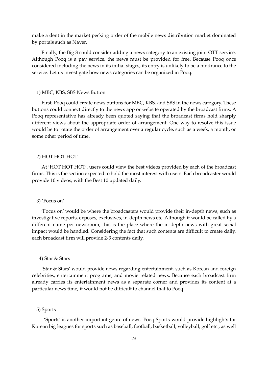make a dent in the market pecking order of the mobile news distribution market dominated by portals such as Naver.

Finally, the Big 3 could consider adding a news category to an existing joint OTT service. Although Pooq is a pay service, the news must be provided for free. Because Pooq once considered including the news in its initial stages, its entry is unlikely to be a hindrance to the service. Let us investigate how news categories can be organized in Pooq.

#### 1) MBC, KBS, SBS News Button

First, Pooq could create news buttons for MBC, KBS, and SBS in the news category. These buttons could connect directly to the news app or website operated by the broadcast firms. A Pooq representative has already been quoted saying that the broadcast firms hold sharply different views about the appropriate order of arrangement. One way to resolve this issue would be to rotate the order of arrangement over a regular cycle, such as a week, a month, or some other period of time.

## 2) HOT HOT HOT

At 'HOT HOT HOT', users could view the best videos provided by each of the broadcast firms. This is the section expected to hold the most interest with users. Each broadcaster would provide 10 videos, with the Best 10 updated daily.

#### 3) 'Focus on'

'Focus on' would be where the broadcasters would provide their in-depth news, such as investigative reports, exposes, exclusives, in-depth news etc. Although it would be called by a different name per newsroom, this is the place where the in-depth news with great social impact would be handled. Considering the fact that such contents are difficult to create daily, each broadcast firm will provide 2-3 contents daily.

#### 4) Star & Stars

'Star & Stars' would provide news regarding entertainment, such as Korean and foreign celebrities, entertainment programs, and movie related news. Because each broadcast firm already carries its entertainment news as a separate corner and provides its content at a particular news time, it would not be difficult to channel that to Pooq.

## 5) Sports

'Sports' is another important genre of news. Pooq Sports would provide highlights for Korean big leagues for sports such as baseball, football, basketball, volleyball, golf etc., as well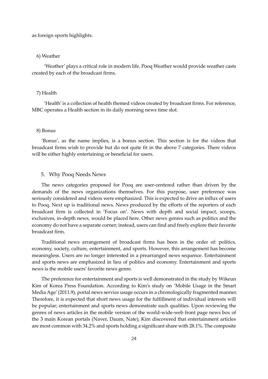as foreign sports highlights.

#### 6) Weather

'Weather' plays a critical role in modern life. Pooq Weather would provide weather casts created by each of the broadcast firms.

## 7) Health

'Health' is a collection of health themed videos created by broadcast firms. For reference, MBC operates a Health section in its daily morning news time slot.

## 8) Bonus

'Bonus', as the name implies, is a bonus section. This section is for the videos that broadcast firms wish to provide but do not quite fit in the above 7 categories. There videos will be either highly entertaining or beneficial for users.

## 5. Why Pooq Needs News

The news categories proposed for Pooq are user-centered rather than driven by the demands of the news organizations themselves. For this purpose, user preference was seriously considered and videos were emphasized. This is expected to drive an influx of users to Pooq. Next up is traditional news. News produced by the efforts of the reporters of each broadcast firm is collected in 'Focus on'. News with depth and social impact, scoops, exclusives, in-depth news, would be placed here. Other news genres such as politics and the economy do not have a separate corner; instead, users can find and freely explore their favorite broadcast firm.

Traditional news arrangement of broadcast firms has been in the order of: politics, economy, society, culture, entertainment, and sports. However, this arrangement has become meaningless. Users are no longer interested in a prearranged news sequence. Entertainment and sports news are emphasized in lieu of politics and economy. Entertainment and sports news is the mobile users' favorite news genre.

The preference for entertainment and sports is well demonstrated in the study by Wikeun Kim of Korea Press Foundation. According to Kim's study on 'Mobile Usage in the Smart Media Age'(2011.9), portal news service usage occurs in a chronologically fragmented manner. Therefore, it is expected that short news usage for the fulfillment of individual interests will be popular; entertainment and sports news demonstrate such qualities. Upon reviewing the genres of news articles in the mobile version of the world-wide-web front page news box of the 3 main Korean portals (Naver, Daum, Nate), Kim discovered that entertainment articles are most common with 34.2% and sports holding a significant share with 28.1%. The composite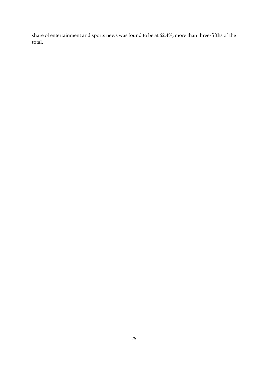share of entertainment and sports news was found to be at 62.4%, more than three-fifths of the total.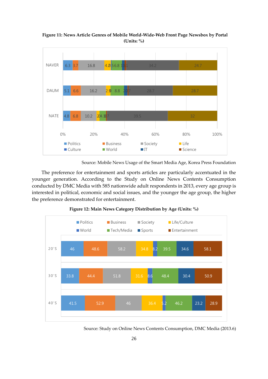4.8 5.1 6.3 3.7 6.8 6.6 10.2 16.2 16.8  $204.10$ 2.9 4.2,56.8 116 0 8.8 20 34.2 32 28.7 24.7 0% 20% 40% 60% 80% 100% NATE DAUM NAVER **D** Politics **Business Business Business B** Society **D** Life **Culture II** World **IT** Science

**Figure 11: News Article Genres of Mobile World-Wide-Web Front Page Newsbox by Portal (Units: %)**

Source: Mobile News Usage of the Smart Media Age, Korea Press Foundation

The preference for entertainment and sports articles are particularly accentuated in the younger generation. According to the Study on Online News Contents Consumption conducted by DMC Media with 585 nationwide adult respondents in 2013, every age group is interested in political, economic and social issues, and the younger the age group, the higher the preference demonstrated for entertainment.



**Figure 12: Main News Category Distribution by Age (Units: %)**

Source: Study on Online News Contents Consumption, DMC Media (2013.6)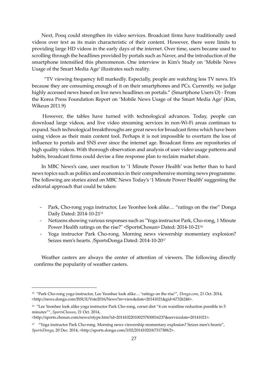Next, Pooq could strengthen its video services. Broadcast firms have traditionally used videos over text as its main characteristic of their content. However, there were limits to providing large HD videos in the early days of the internet. Over time, users became used to scrolling through the headlines provided by portals such as Naver, and the introduction of the smartphone intensified this phenomenon. One interview in Kim's Study on 'Mobile News Usage of the Smart Media Age' illustrates such reality.

"TV viewing frequency fell markedly. Especially, people are watching less TV news. It's because they are consuming enough of it on their smartphones and PCs. Currently, we judge highly accessed news based on live news headlines on portals." (Smartphone Users O) - From the Korea Press Foundation Report on 'Mobile News Usage of the Smart Media Age' (Kim, Wikeun 2011.9)

However, the tables have turned with technological advances. Today, people can download large videos, and live video streaming services in non-Wi-Fi areas continues to expand. Such technological breakthroughs are great news for broadcast firms which have been using videos as their main content tool. Perhaps it is not impossible to overturn the loss of influence to portals and SNS ever since the internet age. Broadcast firms are repositories of high quality videos. With thorough observation and analysis of user video usage patterns and habits, broadcast firms could devise a fine response plan to reclaim market share.

In MBC News's case, user reaction to '1 Minute Power Health' was better than to hard news topics such as politics and economics in their comprehensive morning news programme. The following are stories aired on MBC News Today's '1 Minute Power Health' suggesting the editorial approach that could be taken:

- Park, Cho-rong yoga instructor, Lee Yeonhee look alike... "ratings on the rise" Donga Daily Dated: 2014-10-21<sup>15</sup>
- Netizens showing various responses such as "Yoga instructor Park, Cho-rong, 1 Minute Power Health ratings on the rise?" <SportsChosun> Dated: 2014-10-21<sup>16</sup>
- Yoga instructor Park Cho-rong. Morning news viewership momentary explosion? Seizes men's hearts. /SportsDonga Dated: 2014-10-20<sup>17</sup>

Weather casters are always the center of attention of viewers. The following directly confirms the popularity of weather casters.

<sup>15</sup> "Park Cho-rong yoga instructor, Lee Yeonhee look alike… 'ratings on the rise'", *Donga.com*, 21 Oct. 2014, <http://news.donga.com/ISSUE/Vote2016/News?m=view&date=20141021&gid=67326246>.

<sup>16</sup> "Lee Yeonhee look alike yoga instructor Park Cho-rong, corset diet "4 cm waistline reduction possible in 5 minutes"", *SportsChosun*, 21 Oct. 2014,

<sup>&</sup>lt;http://sports.chosun.com/news/ntype.htm?id=201410220100257830016237&servicedate=20141021>.

<sup>&</sup>lt;sup>17</sup> "Yoga instructor Park Cho-rong. Morning news viewership momentary explosion? Seizes men's hearts", *SportsDonga*, 20 Dec. 2014, <http://sports.donga.com/3/02/20141020/67317388/2>.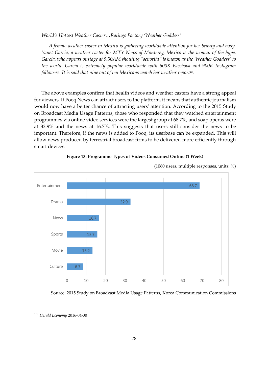#### *World's Hottest Weather Caster…Ratings Factory 'Weather Goddess'*

*A female weather caster in Mexico is gathering worldwide attention for her beauty and body. Yanet Garcia, a weather caster for MTY News of Monterey, Mexico is the woman of the hype. Garcia, who appears onstage at 9:30AM shouting "senorita" is known as the 'Weather Goddess' to the world. Garcia is extremely popular worldwide with 600K Facebook and 900K Instagram followers. It is said that nine out of ten Mexicans watch her weather report<sup>18</sup> .*

The above examples confirm that health videos and weather casters have a strong appeal for viewers. If Pooq News can attract users to the platform, it means that authentic journalism would now have a better chance of attracting users' attention. According to the 2015 Study on Broadcast Media Usage Patterns, those who responded that they watched entertainment programmes via online video services were the largest group at 68.7%, and soap operas were at 32.9% and the news at 16.7%. This suggests that users still consider the news to be important. Therefore, if the news is added to Pooq, its userbase can be expanded. This will allow news produced by terrestrial broadcast firms to be delivered more efficiently through smart devices.



#### **Figure 13: Programme Types of Videos Consumed Online (1 Week)**

(1060 users, multiple responses, units: %)

Source: 2015 Study on Broadcast Media Usage Patterns, Korea Communication Commissions

<sup>18</sup> *Herald Economy* 2016-04-30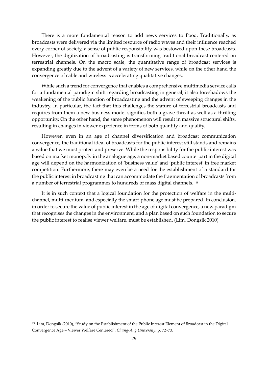There is a more fundamental reason to add news services to Pooq. Traditionally, as broadcasts were delivered via the limited resource of radio waves and their influence reached every corner of society, a sense of public responsibility was bestowed upon these broadcasts. However, the digitization of broadcasting is transforming traditional broadcast centered on terrestrial channels. On the macro scale, the quantitative range of broadcast services is expanding greatly due to the advent of a variety of new services, while on the other hand the convergence of cable and wireless is accelerating qualitative changes.

While such a trend for convergence that enables a comprehensive multimedia service calls for a fundamental paradigm shift regarding broadcasting in general, it also foreshadows the weakening of the public function of broadcasting and the advent of sweeping changes in the industry. In particular, the fact that this challenges the stature of terrestrial broadcasts and requires from them a new business model signifies both a grave threat as well as a thrilling opportunity. On the other hand, the same phenomenon will result in massive structural shifts, resulting in changes in viewer experience in terms of both quantity and quality.

However, even in an age of channel diversification and broadcast communication convergence, the traditional ideal of broadcasts for the public interest still stands and remains a value that we must protect and preserve. While the responsibility for the public interest was based on market monopoly in the analogue age, a non-market based counterpart in the digital age will depend on the harmonization of 'business value' and 'public interest' in free market competition. Furthermore, there may even be a need for the establishment of a standard for the public interest in broadcasting that can accommodate the fragmentation of broadcasts from a number of terrestrial programmes to hundreds of mass digital channels. <sup>19</sup>

It is in such context that a logical foundation for the protection of welfare in the multichannel, multi-medium, and especially the smart-phone age must be prepared. In conclusion, in order to secure the value of public interest in the age of digital convergence, a new paradigm that recognises the changes in the environment, and a plan based on such foundation to secure the public interest to realise viewer welfare, must be established. (Lim, Dongsik 2010)

<sup>&</sup>lt;sup>19</sup> Lim, Dongsik (2010), "Study on the Establishment of the Public Interest Element of Broadcast in the Digital Convergence Age – Viewer Welfare Centered", *Chung-Ang University*, p. 72~73.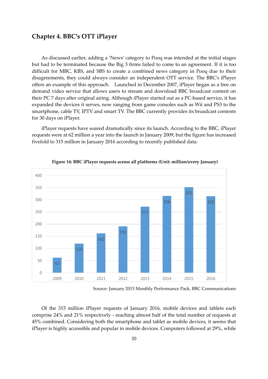## **Chapter 4. BBC's OTT iPlayer**

As discussed earlier, adding a 'News' category to Pooq was intended at the initial stages but had to be terminated because the Big 3 firms failed to come to an agreement. If it is too difficult for MBC, KBS, and SBS to create a combined news category in Pooq due to their disagreements, they could always consider an independent OTT service. The BBC's iPlayer offers an example of this approach. Launched in December 2007, iPlayer began as a free on demand video service that allows users to stream and download BBC broadcast content on their PC 7 days after original airing. Although iPlayer started out as a PC-based service, it has expanded the devices it serves, now ranging from game consoles such as Wii and PS3 to the smartphone, cable TV, IPTV and smart TV. The BBC currently provides its broadcast contents for 30 days on iPlayer.

iPlayer requests have soared dramatically since its launch. According to the BBC, iPlayer requests were at 62 million a year into the launch in January 2009, but the figure has increased fivefold to 315 million in January 2016 according to recently published data.



**Figure 14: BBC iPlayer requests across all platforms (Unit: million/every January)**

Source: January 2015 Monthly Performance Pack, BBC Communications

Of the 315 million iPlayer requests of January 2016, mobile devices and tablets each comprise 24% and 21% respectively - reaching almost half of the total number of requests at 45% combined. Considering both the smartphone and tablet as mobile devices, it seems that iPlayer is highly accessible and popular in mobile devices. Computers followed at 29%, while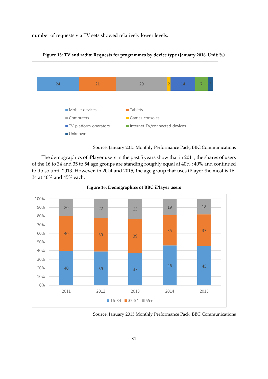number of requests via TV sets showed relatively lower levels.



**Figure 15: TV and radio: Requests for programmes by device type (January 2016, Unit: %)**



The demographics of iPlayer users in the past 5 years show that in 2011, the shares of users of the 16 to 34 and 35 to 54 age groups are standing roughly equal at 40% : 40% and continued to do so until 2013. However, in 2014 and 2015, the age group that uses iPlayer the most is 16- 34 at 46% and 45% each.



**Figure 16: Demographics of BBC iPlayer users**

Source: January 2015 Monthly Performance Pack, BBC Communications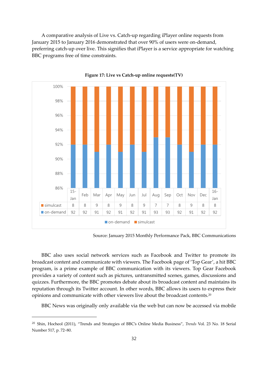A comparative analysis of Live vs. Catch-up regarding iPlayer online requests from January 2015 to January 2016 demonstrated that over 90% of users were on-demand, preferring catch-up over live. This signifies that iPlayer is a service appropriate for watching BBC programs free of time constraints.



**Figure 17: Live vs Catch-up online requests(TV)**

Source: January 2015 Monthly Performance Pack, BBC Communications

BBC also uses social network services such as Facebook and Twitter to promote its broadcast content and communicate with viewers. The Facebook page of 'Top Gear', a hit BBC program, is a prime example of BBC communication with its viewers. Top Gear Facebook provides a variety of content such as pictures, untransmitted scenes, games, discussions and quizzes. Furthermore, the BBC promotes debate about its broadcast content and maintains its reputation through its Twitter account. In other words, BBC allows its users to express their opinions and communicate with other viewers live about the broadcast contents.<sup>20</sup>

BBC News was originally only available via the web but can now be accessed via mobile

<sup>20</sup> Shin, Hocheol (2011), "Trends and Strategies of BBC's Online Media Business", *Trends* Vol. 23 No. 18 Serial Number 517, p. 72~80.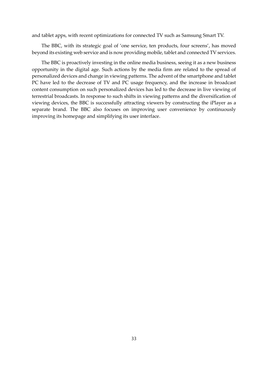and tablet apps, with recent optimizations for connected TV such as Samsung Smart TV.

The BBC, with its strategic goal of 'one service, ten products, four screens', has moved beyond its existing web service and is now providing mobile, tablet and connected TV services.

The BBC is proactively investing in the online media business, seeing it as a new business opportunity in the digital age. Such actions by the media firm are related to the spread of personalized devices and change in viewing patterns. The advent of the smartphone and tablet PC have led to the decrease of TV and PC usage frequency, and the increase in broadcast content consumption on such personalized devices has led to the decrease in live viewing of terrestrial broadcasts. In response to such shifts in viewing patterns and the diversification of viewing devices, the BBC is successfully attracting viewers by constructing the iPlayer as a separate brand. The BBC also focuses on improving user convenience by continuously improving its homepage and simplifying its user interface.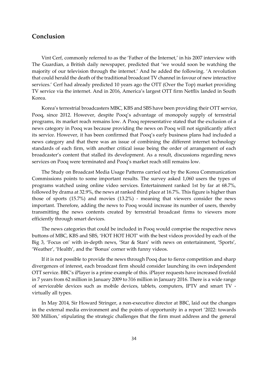## **Conclusion**

Vint Cerf, commonly referred to as the 'Father of the Internet,' in his 2007 interview with The Guardian, a British daily newspaper, predicted that 'we would soon be watching the majority of our television through the internet.' And he added the following. 'A revolution that could herald the death of the traditional broadcast TV channel in favour of new interactive services.' Cerf had already predicted 10 years ago the OTT (Over the Top) market providing TV service via the internet. And in 2016, America's largest OTT firm Netflix landed in South Korea.

Korea's terrestrial broadcasters MBC, KBS and SBS have been providing their OTT service, Pooq, since 2012. However, despite Pooq's advantage of monopoly supply of terrestrial programs, its market reach remains low. A Pooq representative stated that the exclusion of a news category in Pooq was because providing the news on Pooq will not significantly affect its service. However, it has been confirmed that Pooq's early business plans had included a news category and that there was an issue of combining the different internet technology standards of each firm, with another critical issue being the order of arrangement of each broadcaster's content that stalled its development. As a result, discussions regarding news services on Pooq were terminated and Pooq's market reach still remains low.

The Study on Broadcast Media Usage Patterns carried out by the Korea Communication Commissions points to some important results. The survey asked 1,060 users the types of programs watched using online video services. Entertainment ranked 1st by far at 68.7%, followed by drama at 32.9%, the news at ranked third place at 16.7%. This figure is higher than those of sports (15.7%) and movies (13.2%) - meaning that viewers consider the news important. Therefore, adding the news to Pooq would increase its number of users, thereby transmitting the news contents created by terrestrial broadcast firms to viewers more efficiently through smart devices.

The news categories that could be included in Pooq would comprise the respective news buttons of MBC, KBS and SBS, 'HOT HOT HOT' with the best videos provided by each of the Big 3, 'Focus on' with in-depth news, 'Star & Stars' with news on entertainment, 'Sports', 'Weather', 'Health', and the 'Bonus' corner with funny videos.

If it is not possible to provide the news through Pooq due to fierce competition and sharp divergences of interest, each broadcast firm should consider launching its own independent OTT service. BBC's iPlayer is a prime example of this. iPlayer requests have increased fivefold in 7 years from 62 million in January 2009 to 316 million in January 2016. There is a wide range of serviceable devices such as mobile devices, tablets, computers, IPTV and smart TV virtually all types.

In May 2014, Sir Howard Stringer, a non-executive director at BBC, laid out the changes in the external media environment and the points of opportunity in a report '2022: towards 500 Million,' stipulating the strategic challenges that the firm must address and the general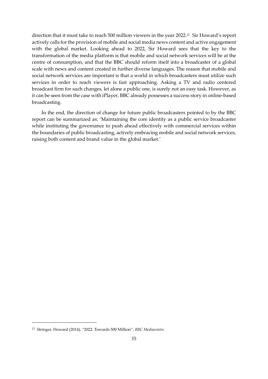direction that it must take to reach 500 million viewers in the year 2022.<sup>21</sup> Sir Howard's report actively calls for the provision of mobile and social media news content and active engagement with the global market. Looking ahead to 2022, Sir Howard sees that the key to the transformation of the media platform is that mobile and social network services will be at the centre of consumption, and that the BBC should reform itself into a broadcaster of a global scale with news and content created in further diverse languages. The reason that mobile and social network services are important is that a world in which broadcasters must utilize such services in order to reach viewers is fast approaching. Asking a TV and radio centered broadcast firm for such changes, let alone a public one, is surely not an easy task. However, as it can be seen from the case with iPlayer, BBC already possesses a success story in online-based broadcasting.

In the end, the direction of change for future public broadcasters pointed to by the BBC report can be summarized as: 'Maintaining the core identity as a public service broadcaster while instituting the governance to push ahead effectively with commercial services within the boundaries of public broadcasting, actively embracing mobile and social network services, raising both content and brand value in the global market.'

<sup>21</sup> Stringer, Howard (2014), *"*2022: Towards 500 Million", *BBC Mediacentre.*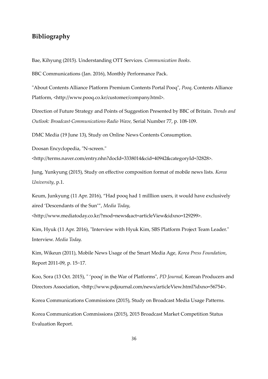## **Bibliography**

Bae, Kihyung (2015). Understanding OTT Services. *Communication Books*.

BBC Communications (Jan. 2016), Monthly Performance Pack.

"About Contents Alliance Platform Premium Contents Portal Pooq", *Pooq*, Contents Alliance Platform, <http://www.pooq.co.kr/customer/company.html>.

Direction of Future Strategy and Points of Suggestion Presented by BBC of Britain. *Trends and Outlook: Broadcast*·*Communications*·*Radio Wave,* Serial Number 77, p. 108-109.

DMC Media (19 June 13), Study on Online News Contents Consumption.

Doosan Encyclopedia, "N-screen."

<http://terms.naver.com/entry.nhn?docId=3338014&cid=40942&categoryId=32828>.

Jung, Yunkyung (2015), Study on effective composition format of mobile news lists. *Korea University*, p.1.

Keum, Junkyung (11 Apr. 2016), "Had pooq had 1 milllion users, it would have exclusively aired 'Descendants of the Sun'", *Media Today*,

<http://www.mediatoday.co.kr/?mod=news&act=articleView&idxno=129299>.

Kim, Hyuk (11 Apr. 2016), "Interview with Hyuk Kim, SBS Platform Project Team Leader." Interview. *Media Today.*

Kim, Wikeun (2011), Mobile News Usage of the Smart Media Age*, Korea Press Foundation*, Report 2011-09, p. 15~17.

Koo, Sora (13 Oct. 2015), " 'pooq' in the War of Platforms", *PD Journal,* Korean Producers and Directors Association, <http://www.pdjournal.com/news/articleView.html?idxno=56754>.

Korea Communications Commissions (2015), Study on Broadcast Media Usage Patterns.

Korea Communication Commissions (2015), 2015 Broadcast Market Competition Status Evaluation Report.